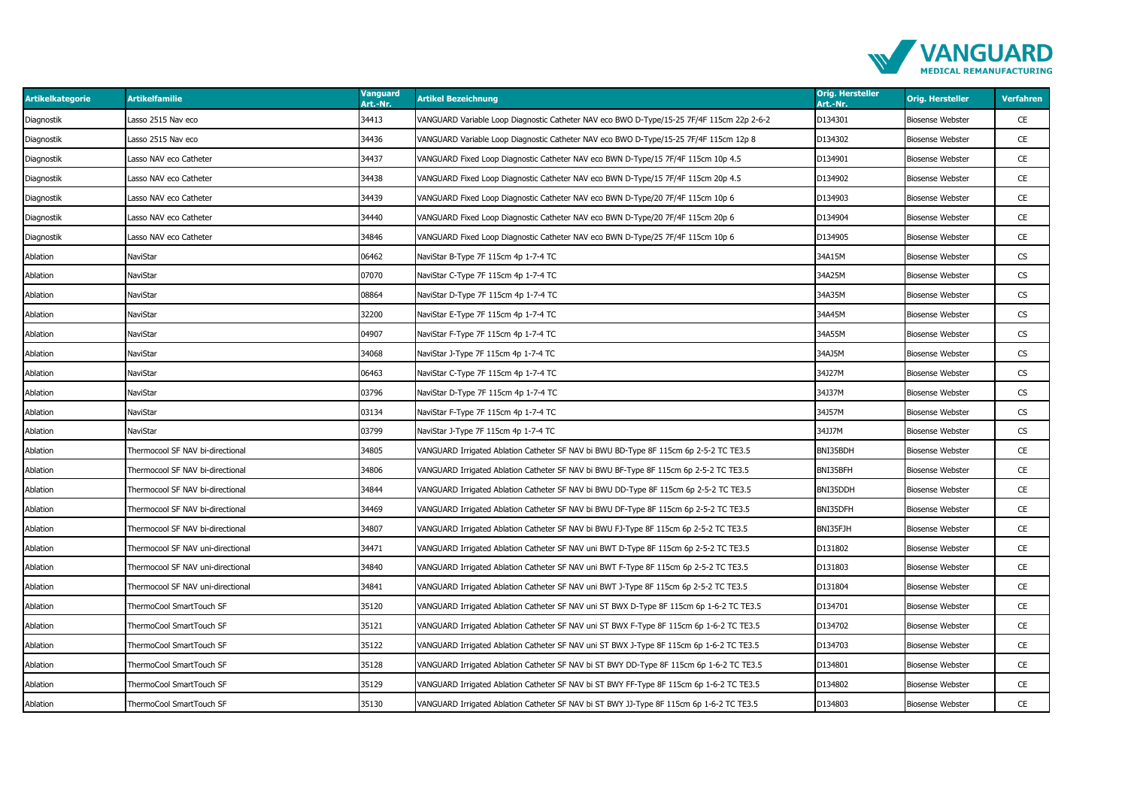

| <b>Artikelkategorie</b> | <b>Artikelfamilie</b>             | <b>Vanguard</b><br>Art.-Nr. | <b>Artikel Bezeichnung</b>                                                                | <b>Orig. Hersteller</b><br>Art.-Nr. | <b>Orig. Hersteller</b> | Verfahren |
|-------------------------|-----------------------------------|-----------------------------|-------------------------------------------------------------------------------------------|-------------------------------------|-------------------------|-----------|
| Diagnostik              | asso 2515 Nav eco                 | 34413                       | VANGUARD Variable Loop Diagnostic Catheter NAV eco BWO D-Type/15-25 7F/4F 115cm 22p 2-6-2 | D134301                             | <b>Biosense Webster</b> | CE        |
| Diagnostik              | asso 2515 Nav eco                 | 34436                       | VANGUARD Variable Loop Diagnostic Catheter NAV eco BWO D-Type/15-25 7F/4F 115cm 12p 8     | D134302                             | <b>Biosense Webster</b> | CE        |
| Diagnostik              | Lasso NAV eco Catheter            | 34437                       | VANGUARD Fixed Loop Diagnostic Catheter NAV eco BWN D-Type/15 7F/4F 115cm 10p 4.5         | D134901                             | <b>Biosense Webster</b> | CE        |
| Diagnostik              | asso NAV eco Catheter.            | 34438                       | VANGUARD Fixed Loop Diagnostic Catheter NAV eco BWN D-Type/15 7F/4F 115cm 20p 4.5         | D134902                             | <b>Biosense Webster</b> | CE        |
| Diagnostik              | asso NAV eco Catheter.            | 34439                       | VANGUARD Fixed Loop Diagnostic Catheter NAV eco BWN D-Type/20 7F/4F 115cm 10p 6           | D134903                             | <b>Biosense Webster</b> | CE        |
| Diagnostik              | Lasso NAV eco Catheter            | 34440                       | VANGUARD Fixed Loop Diagnostic Catheter NAV eco BWN D-Type/20 7F/4F 115cm 20p 6           | D134904                             | <b>Biosense Webster</b> | CE        |
| Diagnostik              | asso NAV eco Catheter.            | 34846                       | VANGUARD Fixed Loop Diagnostic Catheter NAV eco BWN D-Type/25 7F/4F 115cm 10p 6           | D134905                             | <b>Biosense Webster</b> | CE        |
| Ablation                | NaviStar                          | 06462                       | NaviStar B-Type 7F 115cm 4p 1-7-4 TC                                                      | 34A15M                              | <b>Biosense Webster</b> | CS        |
| Ablation                | NaviStar                          | 07070                       | NaviStar C-Type 7F 115cm 4p 1-7-4 TC                                                      | 34A25M                              | <b>Biosense Webster</b> | CS        |
| Ablation                | NaviStar                          | 08864                       | NaviStar D-Type 7F 115cm 4p 1-7-4 TC                                                      | 34A35M                              | <b>Biosense Webster</b> | <b>CS</b> |
| Ablation                | NaviStar                          | 32200                       | NaviStar E-Type 7F 115cm 4p 1-7-4 TC                                                      | 34A45M                              | <b>Biosense Webster</b> | <b>CS</b> |
| Ablation                | NaviStar                          | 04907                       | NaviStar F-Type 7F 115cm 4p 1-7-4 TC                                                      | 34A55M                              | <b>Biosense Webster</b> | <b>CS</b> |
| Ablation                | NaviStar                          | 34068                       | NaviStar J-Type 7F 115cm 4p 1-7-4 TC                                                      | 34AJ5M                              | <b>Biosense Webster</b> | <b>CS</b> |
| Ablation                | NaviStar                          | 06463                       | NaviStar C-Type 7F 115cm 4p 1-7-4 TC                                                      | 34J27M                              | <b>Biosense Webster</b> | CS        |
| Ablation                | NaviStar                          | 03796                       | NaviStar D-Type 7F 115cm 4p 1-7-4 TC                                                      | 34J37M                              | <b>Biosense Webster</b> | CS        |
| Ablation                | NaviStar                          | 03134                       | NaviStar F-Type 7F 115cm 4p 1-7-4 TC                                                      | 34J57M                              | <b>Biosense Webster</b> | CS        |
| Ablation                | NaviStar                          | 03799                       | NaviStar J-Type 7F 115cm 4p 1-7-4 TC                                                      | 34JJ7M                              | <b>Biosense Webster</b> | CS        |
| Ablation                | Thermocool SF NAV bi-directional  | 34805                       | VANGUARD Irrigated Ablation Catheter SF NAV bi BWU BD-Type 8F 115cm 6p 2-5-2 TC TE3.5     | BNI35BDH                            | <b>Biosense Webster</b> | CE        |
| Ablation                | Thermocool SF NAV bi-directional  | 34806                       | VANGUARD Irrigated Ablation Catheter SF NAV bi BWU BF-Type 8F 115cm 6p 2-5-2 TC TE3.5     | BNI35BFH                            | <b>Biosense Webster</b> | CE        |
| Ablation                | Thermocool SF NAV bi-directional  | 34844                       | VANGUARD Irrigated Ablation Catheter SF NAV bi BWU DD-Type 8F 115cm 6p 2-5-2 TC TE3.5     | BNI35DDH                            | <b>Biosense Webster</b> | CE        |
| Ablation                | Thermocool SF NAV bi-directional  | 34469                       | VANGUARD Irrigated Ablation Catheter SF NAV bi BWU DF-Type 8F 115cm 6p 2-5-2 TC TE3.5     | BNI35DFH                            | <b>Biosense Webster</b> | CE        |
| Ablation                | Thermocool SF NAV bi-directional  | 34807                       | VANGUARD Irrigated Ablation Catheter SF NAV bi BWU FJ-Type 8F 115cm 6p 2-5-2 TC TE3.5     | BNI35FJH                            | <b>Biosense Webster</b> | CE        |
| Ablation                | Thermocool SF NAV uni-directional | 34471                       | VANGUARD Irrigated Ablation Catheter SF NAV uni BWT D-Type 8F 115cm 6p 2-5-2 TC TE3.5     | D131802                             | <b>Biosense Webster</b> | CE        |
| Ablation                | Thermocool SF NAV uni-directional | 34840                       | VANGUARD Irrigated Ablation Catheter SF NAV uni BWT F-Type 8F 115cm 6p 2-5-2 TC TE3.5     | D131803                             | <b>Biosense Webster</b> | CE        |
| Ablation                | Thermocool SF NAV uni-directional | 34841                       | VANGUARD Irrigated Ablation Catheter SF NAV uni BWT J-Type 8F 115cm 6p 2-5-2 TC TE3.5     | D131804                             | <b>Biosense Webster</b> | CE        |
| Ablation                | ThermoCool SmartTouch SF          | 35120                       | VANGUARD Irrigated Ablation Catheter SF NAV uni ST BWX D-Type 8F 115cm 6p 1-6-2 TC TE3.5  | D134701                             | <b>Biosense Webster</b> | CE        |
| Ablation                | ThermoCool SmartTouch SF          | 35121                       | VANGUARD Irrigated Ablation Catheter SF NAV uni ST BWX F-Type 8F 115cm 6p 1-6-2 TC TE3.5  | D134702                             | <b>Biosense Webster</b> | CE        |
| Ablation                | ThermoCool SmartTouch SF          | 35122                       | VANGUARD Irrigated Ablation Catheter SF NAV uni ST BWX J-Type 8F 115cm 6p 1-6-2 TC TE3.5  | D134703                             | <b>Biosense Webster</b> | CE        |
| Ablation                | ThermoCool SmartTouch SF          | 35128                       | VANGUARD Irrigated Ablation Catheter SF NAV bi ST BWY DD-Type 8F 115cm 6p 1-6-2 TC TE3.5  | D134801                             | <b>Biosense Webster</b> | CE        |
| Ablation                | ThermoCool SmartTouch SF          | 35129                       | VANGUARD Irrigated Ablation Catheter SF NAV bi ST BWY FF-Type 8F 115cm 6p 1-6-2 TC TE3.5  | D134802                             | <b>Biosense Webster</b> | CE        |
| Ablation                | ThermoCool SmartTouch SF          | 35130                       | VANGUARD Irrigated Ablation Catheter SF NAV bi ST BWY JJ-Type 8F 115cm 6p 1-6-2 TC TE3.5  | D134803                             | <b>Biosense Webster</b> | CE        |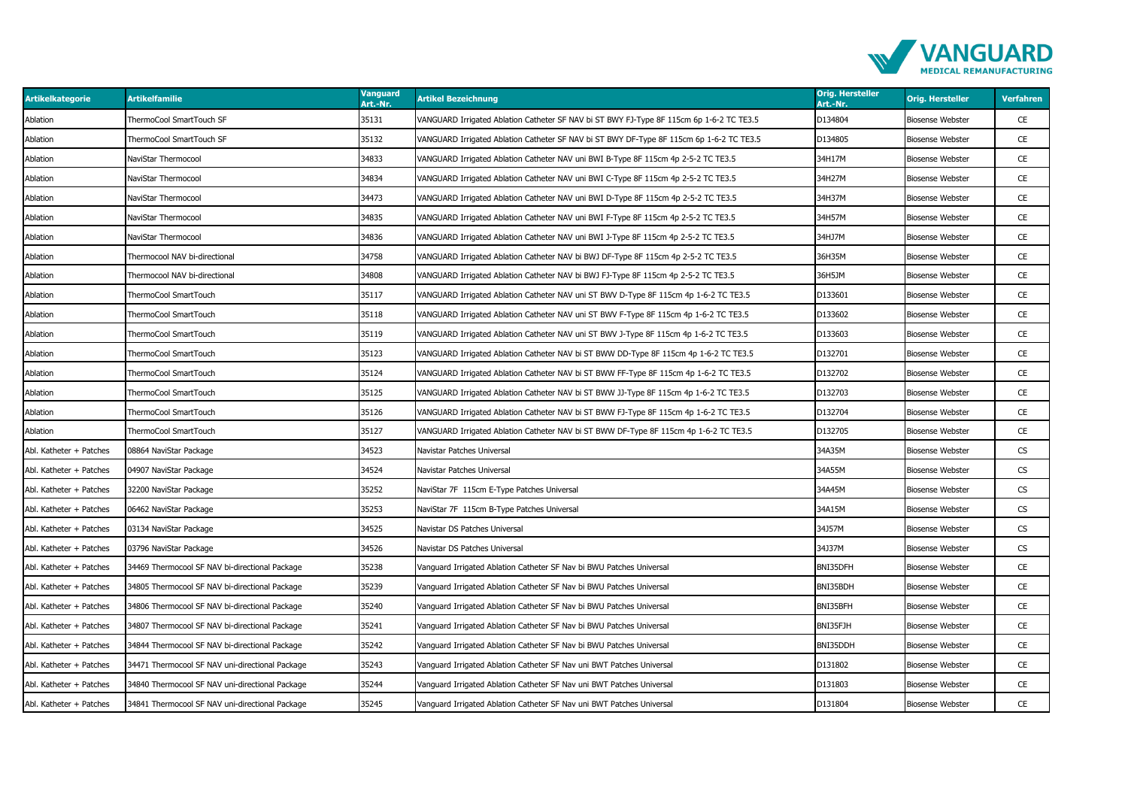

| <b>Artikelkategorie</b> | <b>Artikelfamilie</b>                           | Vanguard<br>Art.-Nr. | <b>Artikel Bezeichnung</b>                                                               | <b>Orig. Hersteller</b><br>Art.-Nr. | <b>Orig. Hersteller</b> | <b>Verfahren</b>         |
|-------------------------|-------------------------------------------------|----------------------|------------------------------------------------------------------------------------------|-------------------------------------|-------------------------|--------------------------|
| Ablation                | ThermoCool SmartTouch SF                        | 35131                | VANGUARD Irrigated Ablation Catheter SF NAV bi ST BWY FJ-Type 8F 115cm 6p 1-6-2 TC TE3.5 | D134804                             | <b>Biosense Webster</b> | CE                       |
| Ablation                | ThermoCool SmartTouch SF                        | 35132                | /ANGUARD Irrigated Ablation Catheter SF NAV bi ST BWY DF-Type 8F 115cm 6p 1-6-2 TC TE3.5 | D134805                             | <b>Biosense Webster</b> | CE                       |
| Ablation                | NaviStar Thermocool                             | 34833                | VANGUARD Irrigated Ablation Catheter NAV uni BWI B-Type 8F 115cm 4p 2-5-2 TC TE3.5       | 34H17M                              | <b>Biosense Webster</b> | CE                       |
| Ablation                | NaviStar Thermocool                             | 34834                | VANGUARD Irrigated Ablation Catheter NAV uni BWI C-Type 8F 115cm 4p 2-5-2 TC TE3.5       | 34H27M                              | <b>Biosense Webster</b> | CE                       |
| Ablation                | NaviStar Thermocool                             | 34473                | VANGUARD Irrigated Ablation Catheter NAV uni BWI D-Type 8F 115cm 4p 2-5-2 TC TE3.5       | 34H37M                              | <b>Biosense Webster</b> | CE                       |
| Ablation                | NaviStar Thermocool                             | 34835                | VANGUARD Irrigated Ablation Catheter NAV uni BWI F-Type 8F 115cm 4p 2-5-2 TC TE3.5       | 34H57M                              | <b>Biosense Webster</b> | CE                       |
| Ablation                | NaviStar Thermocool                             | 34836                | VANGUARD Irrigated Ablation Catheter NAV uni BWI J-Type 8F 115cm 4p 2-5-2 TC TE3.5       | 34HJ7M                              | <b>Biosense Webster</b> | CE                       |
| Ablation                | Thermocool NAV bi-directional                   | 34758                | VANGUARD Irrigated Ablation Catheter NAV bi BWJ DF-Type 8F 115cm 4p 2-5-2 TC TE3.5       | 36H35M                              | <b>Biosense Webster</b> | CE                       |
| Ablation                | Thermocool NAV bi-directional                   | 34808                | VANGUARD Irrigated Ablation Catheter NAV bi BWJ FJ-Type 8F 115cm 4p 2-5-2 TC TE3.5       | 36H5JM                              | <b>Biosense Webster</b> | CE                       |
| Ablation                | ThermoCool SmartTouch                           | 35117                | VANGUARD Irrigated Ablation Catheter NAV uni ST BWV D-Type 8F 115cm 4p 1-6-2 TC TE3.5    | D133601                             | <b>Biosense Webster</b> | CE                       |
| Ablation                | ThermoCool SmartTouch                           | 35118                | VANGUARD Irrigated Ablation Catheter NAV uni ST BWV F-Type 8F 115cm 4p 1-6-2 TC TE3.5    | D133602                             | <b>Biosense Webster</b> | CE                       |
| Ablation                | ThermoCool SmartTouch                           | 35119                | VANGUARD Irrigated Ablation Catheter NAV uni ST BWV J-Type 8F 115cm 4p 1-6-2 TC TE3.5    | D133603                             | Biosense Webster        | CE                       |
| Ablation                | ThermoCool SmartTouch                           | 35123                | VANGUARD Irrigated Ablation Catheter NAV bi ST BWW DD-Type 8F 115cm 4p 1-6-2 TC TE3.5    | D132701                             | <b>Biosense Webster</b> | CE                       |
| Ablation                | ThermoCool SmartTouch                           | 35124                | VANGUARD Irrigated Ablation Catheter NAV bi ST BWW FF-Type 8F 115cm 4p 1-6-2 TC TE3.5    | D132702                             | <b>Biosense Webster</b> | <b>CE</b>                |
| Ablation                | ThermoCool SmartTouch                           | 35125                | VANGUARD Irrigated Ablation Catheter NAV bi ST BWW JJ-Type 8F 115cm 4p 1-6-2 TC TE3.5    | D132703                             | <b>Biosense Webster</b> | <b>CE</b>                |
| Ablation                | ThermoCool SmartTouch                           | 35126                | VANGUARD Irrigated Ablation Catheter NAV bi ST BWW FJ-Type 8F 115cm 4p 1-6-2 TC TE3.5    | D132704                             | <b>Biosense Webster</b> | CE                       |
| Ablation                | ThermoCool SmartTouch                           | 35127                | VANGUARD Irrigated Ablation Catheter NAV bi ST BWW DF-Type 8F 115cm 4p 1-6-2 TC TE3.5    | D132705                             | <b>Biosense Webster</b> | CE                       |
| Abl. Katheter + Patches | 08864 NaviStar Package                          | 34523                | Navistar Patches Universal                                                               | 34A35M                              | <b>Biosense Webster</b> | CS.                      |
| Abl. Katheter + Patches | 04907 NaviStar Package                          | 34524                | Navistar Patches Universal                                                               | 34A55M                              | <b>Biosense Webster</b> | CS.                      |
| Abl. Katheter + Patches | 32200 NaviStar Package                          | 35252                | NaviStar 7F 115cm E-Type Patches Universal                                               | 34A45M                              | <b>Biosense Webster</b> | $\mathsf{CS}\phantom{0}$ |
| Abl. Katheter + Patches | 06462 NaviStar Package                          | 35253                | NaviStar 7F 115cm B-Type Patches Universal                                               | 34A15M                              | <b>Biosense Webster</b> | $\mathsf{CS}\phantom{0}$ |
| Abl. Katheter + Patches | 03134 NaviStar Package                          | 34525                | Navistar DS Patches Universal                                                            | 34J57M                              | <b>Biosense Webster</b> | $\mathsf{CS}\phantom{0}$ |
| Abl. Katheter + Patches | 03796 NaviStar Package                          | 34526                | Navistar DS Patches Universal                                                            | 34J37M                              | <b>Biosense Webster</b> | CS                       |
| Abl. Katheter + Patches | 34469 Thermocool SF NAV bi-directional Package  | 35238                | Vanguard Irrigated Ablation Catheter SF Nav bi BWU Patches Universal                     | BNI35DFH                            | <b>Biosense Webster</b> | CE                       |
| Abl. Katheter + Patches | 34805 Thermocool SF NAV bi-directional Package  | 35239                | Vanguard Irrigated Ablation Catheter SF Nav bi BWU Patches Universal                     | BNI35BDH                            | <b>Biosense Webster</b> | CE                       |
| Abl. Katheter + Patches | 34806 Thermocool SF NAV bi-directional Package  | 35240                | Vanguard Irrigated Ablation Catheter SF Nav bi BWU Patches Universal                     | BNI35BFH                            | <b>Biosense Webster</b> | CE                       |
| Abl. Katheter + Patches | 34807 Thermocool SF NAV bi-directional Package  | 35241                | Vanguard Irrigated Ablation Catheter SF Nav bi BWU Patches Universal                     | BNI35FJH                            | <b>Biosense Webster</b> | CE                       |
| Abl. Katheter + Patches | 34844 Thermocool SF NAV bi-directional Package  | 35242                | Vanguard Irrigated Ablation Catheter SF Nav bi BWU Patches Universal                     | BNI35DDH                            | <b>Biosense Webster</b> | CE                       |
| Abl. Katheter + Patches | 34471 Thermocool SF NAV uni-directional Package | 35243                | Vanguard Irrigated Ablation Catheter SF Nav uni BWT Patches Universal                    | D131802                             | <b>Biosense Webster</b> | CE                       |
| Abl. Katheter + Patches | 34840 Thermocool SF NAV uni-directional Package | 35244                | Vanguard Irrigated Ablation Catheter SF Nav uni BWT Patches Universal                    | D131803                             | <b>Biosense Webster</b> | CE                       |
| Abl. Katheter + Patches | 34841 Thermocool SF NAV uni-directional Package | 35245                | Vanguard Irrigated Ablation Catheter SF Nav uni BWT Patches Universal                    | D131804                             | <b>Biosense Webster</b> | CE                       |